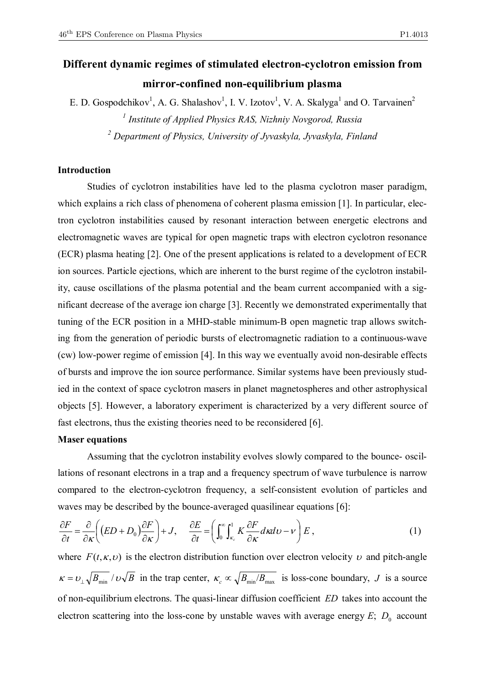## **Different dynamic regimes of stimulated electron-cyclotron emission from mirror-confined non-equilibrium plasma**

E. D. Gospodchikov<sup>1</sup>, A. G. Shalashov<sup>1</sup>, I. V. Izotov<sup>1</sup>, V. A. Skalyga<sup>1</sup> and O. Tarvainen<sup>2</sup> *1 Institute of Applied Physics RAS, Nizhniy Novgorod, Russia 2 Department of Physics, University of Jyvaskyla, Jyvaskyla, Finland* 

## **Introduction**

Studies of cyclotron instabilities have led to the plasma cyclotron maser paradigm, which explains a rich class of phenomena of coherent plasma emission [1]. In particular, electron cyclotron instabilities caused by resonant interaction between energetic electrons and electromagnetic waves are typical for open magnetic traps with electron cyclotron resonance (ECR) plasma heating [2]. One of the present applications is related to a development of ECR ion sources. Particle ejections, which are inherent to the burst regime of the cyclotron instability, cause oscillations of the plasma potential and the beam current accompanied with a significant decrease of the average ion charge [3]. Recently we demonstrated experimentally that tuning of the ECR position in a MHD-stable minimum-B open magnetic trap allows switching from the generation of periodic bursts of electromagnetic radiation to a continuous-wave (cw) low-power regime of emission [4]. In this way we eventually avoid non-desirable effects of bursts and improve the ion source performance. Similar systems have been previously studied in the context of space cyclotron masers in planet magnetospheres and other astrophysical objects [5]. However, a laboratory experiment is characterized by a very different source of fast electrons, thus the existing theories need to be reconsidered [6].

## **Maser equations**

Assuming that the cyclotron instability evolves slowly compared to the bounce- oscillations of resonant electrons in a trap and a frequency spectrum of wave turbulence is narrow compared to the electron-cyclotron frequency, a self-consistent evolution of particles and waves may be described by the bounce-averaged quasilinear equations [6]:

$$
\frac{\partial F}{\partial t} = \frac{\partial}{\partial \kappa} \left( (ED + D_0) \frac{\partial F}{\partial \kappa} \right) + J, \quad \frac{\partial E}{\partial t} = \left( \int_0^\infty \int_{\kappa_c}^1 K \frac{\partial F}{\partial \kappa} d\kappa d\upsilon - \upsilon \right) E, \tag{1}
$$

where  $F(t, \kappa, v)$  is the electron distribution function over electron velocity v and pitch-angle  $\kappa = v_{\perp} \sqrt{B_{\min}} / v \sqrt{B}$  in the trap center,  $\kappa_c \propto \sqrt{B_{\min}/B_{\max}}$  is loss-cone boundary, *J* is a source of non-equilibrium electrons. The quasi-linear diffusion coefficient *ED* takes into account the electron scattering into the loss-cone by unstable waves with average energy  $E$ ;  $D_0$  account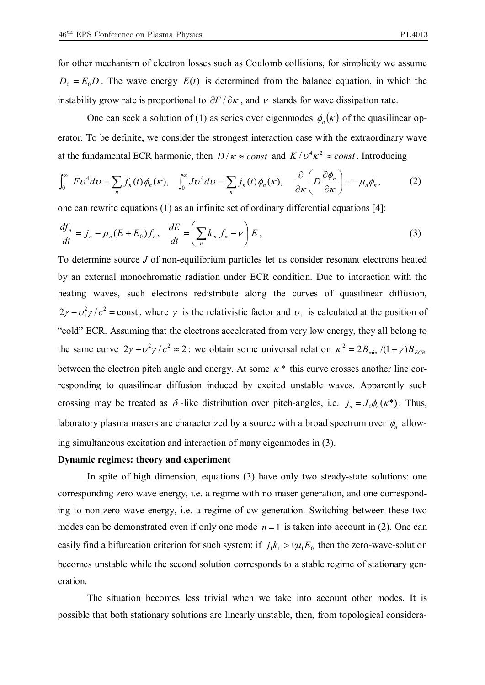for other mechanism of electron losses such as Coulomb collisions, for simplicity we assume  $D_0 = E_0 D$ . The wave energy  $E(t)$  is determined from the balance equation, in which the instability grow rate is proportional to  $\partial F / \partial \kappa$ , and  $\nu$  stands for wave dissipation rate.

One can seek a solution of (1) as series over eigenmodes  $\phi_n(\kappa)$  of the quasilinear operator. To be definite, we consider the strongest interaction case with the extraordinary wave at the fundamental ECR harmonic, then  $D/\kappa \approx const$  and  $K/v^4\kappa^2 \approx const$ . Introducing

$$
\int_0^\infty F \nu^4 d\nu = \sum_n f_n(t) \phi_n(\kappa), \quad \int_0^\infty J \nu^4 d\nu = \sum_n j_n(t) \phi_n(\kappa), \quad \frac{\partial}{\partial \kappa} \left( D \frac{\partial \phi_n}{\partial \kappa} \right) = -\mu_n \phi_n, \tag{2}
$$

one can rewrite equations (1) as an infinite set of ordinary differential equations [4]:

$$
\frac{df_n}{dt} = j_n - \mu_n (E + E_0) f_n, \quad \frac{dE}{dt} = \left( \sum_n k_n f_n - \nu \right) E,
$$
\n(3)

To determine source *J* of non-equilibrium particles let us consider resonant electrons heated by an external monochromatic radiation under ECR condition. Due to interaction with the heating waves, such electrons redistribute along the curves of quasilinear diffusion,  $2\gamma - \nu_\perp^2 \gamma/c^2$  = const, where  $\gamma$  is the relativistic factor and  $\nu_\perp$  is calculated at the position of "cold" ECR. Assuming that the electrons accelerated from very low energy, they all belong to the same curve  $2\gamma - \nu_{\perp}^2 \gamma / c^2 \approx 2$ : we obtain some universal relation  $\kappa^2 = 2B_{\min}/(1+\gamma)B_{ECR}$ between the electron pitch angle and energy. At some  $\kappa^*$  this curve crosses another line corresponding to quasilinear diffusion induced by excited unstable waves. Apparently such crossing may be treated as  $\delta$ -like distribution over pitch-angles, i.e.  $j_n = J_0 \phi_n(\kappa^*)$ . Thus, laboratory plasma masers are characterized by a source with a broad spectrum over  $\phi_n$  allowing simultaneous excitation and interaction of many eigenmodes in (3).

## **Dynamic regimes: theory and experiment**

In spite of high dimension, equations (3) have only two steady-state solutions: one corresponding zero wave energy, i.e. a regime with no maser generation, and one corresponding to non-zero wave energy, i.e. a regime of cw generation. Switching between these two modes can be demonstrated even if only one mode  $n = 1$  is taken into account in (2). One can easily find a bifurcation criterion for such system: if  $j_1 k_1 > v \mu_1 E_0$  then the zero-wave-solution becomes unstable while the second solution corresponds to a stable regime of stationary generation.

The situation becomes less trivial when we take into account other modes. It is possible that both stationary solutions are linearly unstable, then, from topological considera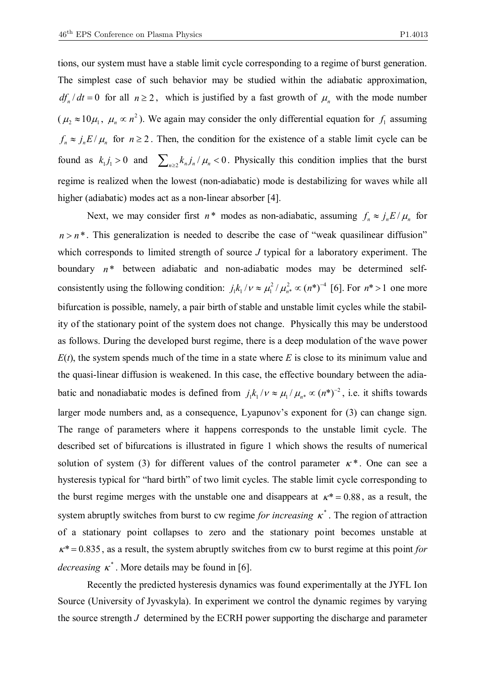tions, our system must have a stable limit cycle corresponding to a regime of burst generation. The simplest case of such behavior may be studied within the adiabatic approximation,  $df_n/dt = 0$  for all  $n \ge 2$ , which is justified by a fast growth of  $\mu_n$  with the mode number  $(\mu_2 \approx 10\mu_1, \mu_n \propto n^2)$ . We again may consider the only differential equation for  $f_1$  assuming  $f_n \approx j_n E / \mu_n$  for  $n \ge 2$ . Then, the condition for the existence of a stable limit cycle can be found as  $k_1 j_1 > 0$  and  $\sum_{n \ge 2} k_n j_n / \mu_n < 0$ . Physically this condition implies that the burst regime is realized when the lowest (non-adiabatic) mode is destabilizing for waves while all higher (adiabatic) modes act as a non-linear absorber [4].

Next, we may consider first  $n^*$  modes as non-adiabatic, assuming  $f_n \approx j_n E / \mu_n$  for  $n > n^*$ . This generalization is needed to describe the case of "weak quasilinear diffusion" which corresponds to limited strength of source *J* typical for a laboratory experiment. The boundary  $n^*$  between adiabatic and non-adiabatic modes may be determined selfconsistently using the following condition:  $j_1 k_1 / \nu \approx \mu_1^2 / \mu_{n*}^2 \propto (n^*)^{-4}$ 2  $j_1 k_1 / \nu \approx \mu_1^2 / \mu_{n^*}^2 \propto (n^*)^{-4}$  [6]. For  $n^* > 1$  one more bifurcation is possible, namely, a pair birth of stable and unstable limit cycles while the stability of the stationary point of the system does not change. Physically this may be understood as follows. During the developed burst regime, there is a deep modulation of the wave power  $E(t)$ , the system spends much of the time in a state where  $E$  is close to its minimum value and the quasi-linear diffusion is weakened. In this case, the effective boundary between the adiabatic and nonadiabatic modes is defined from  $j_1 k_1 / v \approx \mu_1 / \mu_{n*} \propto (n^*)^{-2}$ , i.e. it shifts towards larger mode numbers and, as a consequence, Lyapunov's exponent for (3) can change sign. The range of parameters where it happens corresponds to the unstable limit cycle. The described set of bifurcations is illustrated in figure 1 which shows the results of numerical solution of system (3) for different values of the control parameter  $\kappa^*$ . One can see a hysteresis typical for "hard birth" of two limit cycles. The stable limit cycle corresponding to the burst regime merges with the unstable one and disappears at  $\kappa^* = 0.88$ , as a result, the system abruptly switches from burst to cw regime *for increasing*  $\kappa^*$ . The region of attraction of a stationary point collapses to zero and the stationary point becomes unstable at  $\kappa^*$  = 0.835, as a result, the system abruptly switches from cw to burst regime at this point *for decreasing*  $\kappa^*$ . More details may be found in [6].

Recently the predicted hysteresis dynamics was found experimentally at the JYFL Ion Source (University of Jyvaskyla). In experiment we control the dynamic regimes by varying the source strength *J* determined by the ECRH power supporting the discharge and parameter